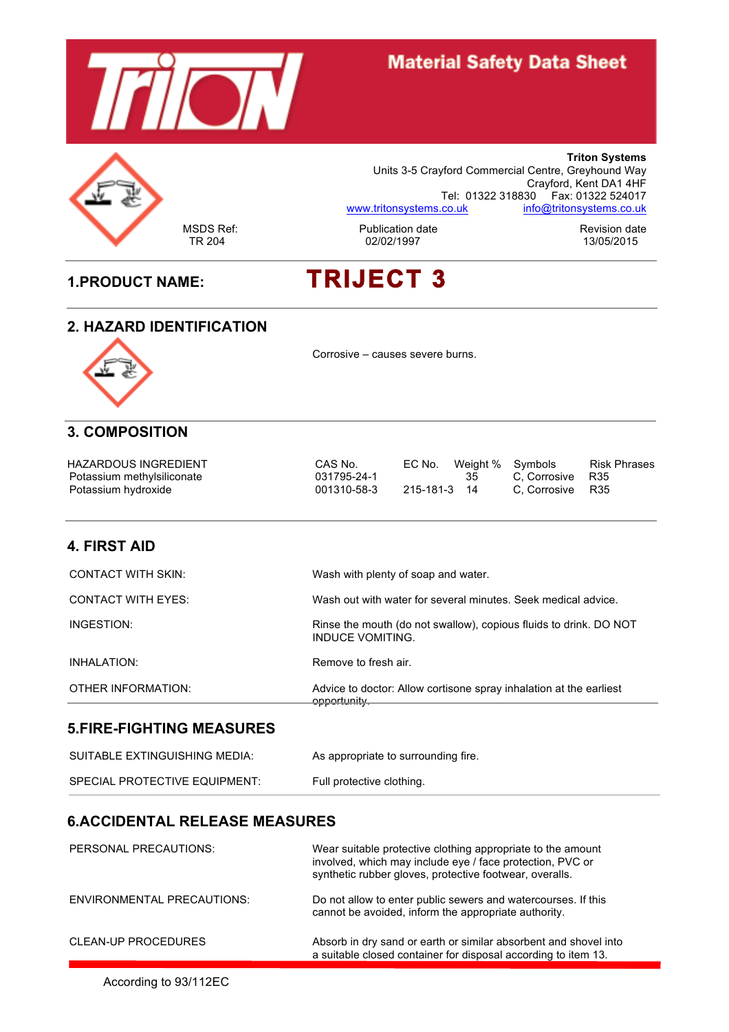

# **Material Safety Data Sheet**



**Triton Systems** Units 3-5 Crayford Commercial Centre, Greyhound Way Crayford, Kent DA1 4HF Tel: 01322 318830 Fax: 01322 524017 www.tritonsystems.co.uk info@tritonsystems.co.uk

MSDS Ref: The Publication date Revision date Revision date Revision date Revision date Revision date Revision date Revision date Revision date Revision date Revision date Revision date Revision date Revision date Revision

# **1.PRODUCT NAME: TRIJECT 3**

#### **2. HAZARD IDENTIFICATION**



Corrosive – causes severe burns.

# **3. COMPOSITION**

| HAZARDOUS INGREDIENT       | CAS No.     |              | EC No. Weight % Symbols |                  | <b>Risk Phrases</b> |
|----------------------------|-------------|--------------|-------------------------|------------------|---------------------|
| Potassium methylsiliconate | 031795-24-1 |              | -35                     | C. Corrosive R35 |                     |
| Potassium hydroxide        | 001310-58-3 | 215-181-3 14 |                         | C. Corrosive R35 |                     |

#### **4. FIRST AID**

| OTHER INFORMATION:        | Advice to doctor: Allow cortisone spray inhalation at the earliest<br>opportunity.    |
|---------------------------|---------------------------------------------------------------------------------------|
| INHALATION:               | Remove to fresh air.                                                                  |
| INGESTION:                | Rinse the mouth (do not swallow), copious fluids to drink. DO NOT<br>INDUCE VOMITING. |
| <b>CONTACT WITH EYES:</b> | Wash out with water for several minutes. Seek medical advice.                         |
| CONTACT WITH SKIN:        | Wash with plenty of soap and water.                                                   |

#### **5.FIRE-FIGHTING MEASURES**

| SUITABLE EXTINGUISHING MEDIA: | As appropriate to surrounding fire. |
|-------------------------------|-------------------------------------|
| SPECIAL PROTECTIVE EQUIPMENT: | Full protective clothing.           |

#### **6.ACCIDENTAL RELEASE MEASURES**

| PERSONAL PRECAUTIONS:             | Wear suitable protective clothing appropriate to the amount<br>involved, which may include eye / face protection, PVC or<br>synthetic rubber gloves, protective footwear, overalls. |
|-----------------------------------|-------------------------------------------------------------------------------------------------------------------------------------------------------------------------------------|
| <b>ENVIRONMENTAL PRECAUTIONS:</b> | Do not allow to enter public sewers and watercourses. If this<br>cannot be avoided, inform the appropriate authority.                                                               |
| <b>CLEAN-UP PROCEDURES</b>        | Absorb in dry sand or earth or similar absorbent and shovel into<br>a suitable closed container for disposal according to item 13.                                                  |

According to 93/112EC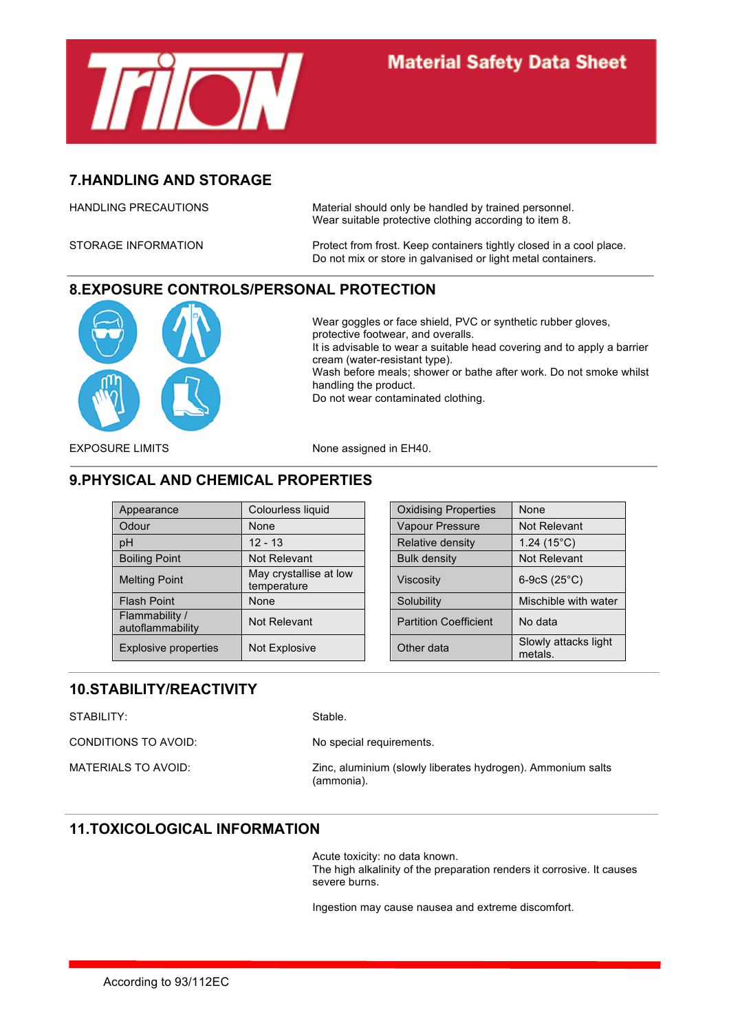

# **7.HANDLING AND STORAGE**

HANDLING PRECAUTIONS Material should only be handled by trained personnel. Wear suitable protective clothing according to item 8.

STORAGE INFORMATION **Protect from frost. Keep containers tightly closed in a cool place.** Do not mix or store in galvanised or light metal containers.

# **8.EXPOSURE CONTROLS/PERSONAL PROTECTION**



Wear goggles or face shield, PVC or synthetic rubber gloves, protective footwear, and overalls. It is advisable to wear a suitable head covering and to apply a barrier cream (water-resistant type). Wash before meals; shower or bathe after work. Do not smoke whilst handling the product. Do not wear contaminated clothing.

EXPOSURE LIMITS None assigned in EH40.

# **9.PHYSICAL AND CHEMICAL PROPERTIES**

| Appearance                         | Colourless liquid                     | <b>Oxidising Properties</b>  | None                            |
|------------------------------------|---------------------------------------|------------------------------|---------------------------------|
| Odour                              | None                                  | <b>Vapour Pressure</b>       | Not Relevant                    |
| pH                                 | $12 - 13$                             | Relative density             | 1.24 $(15^{\circ}C)$            |
| <b>Boiling Point</b>               | Not Relevant                          | <b>Bulk density</b>          | Not Relevant                    |
| <b>Melting Point</b>               | May crystallise at low<br>temperature | <b>Viscosity</b>             | 6-9cS $(25^{\circ}C)$           |
| Flash Point                        | None                                  | Solubility                   | Mischible with water            |
| Flammability /<br>autoflammability | Not Relevant                          | <b>Partition Coefficient</b> | No data                         |
| <b>Explosive properties</b>        | Not Explosive                         | Other data                   | Slowly attacks light<br>metals. |

| Colourless liquid                     | <b>Oxidising Properties</b>  | None                            |
|---------------------------------------|------------------------------|---------------------------------|
| None                                  | Vapour Pressure              | Not Relevant                    |
| $12 - 13$                             | Relative density             | 1.24 $(15^{\circ}C)$            |
| Not Relevant                          | <b>Bulk density</b>          | Not Relevant                    |
| May crystallise at low<br>temperature | <b>Viscosity</b>             | 6-9cS $(25^{\circ}C)$           |
| None                                  | Solubility                   | Mischible with water            |
| Not Relevant                          | <b>Partition Coefficient</b> | No data                         |
| Not Explosive                         | Other data                   | Slowly attacks light<br>metals. |

# **10.STABILITY/REACTIVITY**

| STABILITY:           | Stable.                                                                   |
|----------------------|---------------------------------------------------------------------------|
| CONDITIONS TO AVOID: | No special requirements.                                                  |
| MATERIALS TO AVOID:  | Zinc, aluminium (slowly liberates hydrogen). Ammonium salts<br>(ammonia). |

#### **11.TOXICOLOGICAL INFORMATION**

Acute toxicity: no data known. The high alkalinity of the preparation renders it corrosive. It causes severe burns.

Ingestion may cause nausea and extreme discomfort.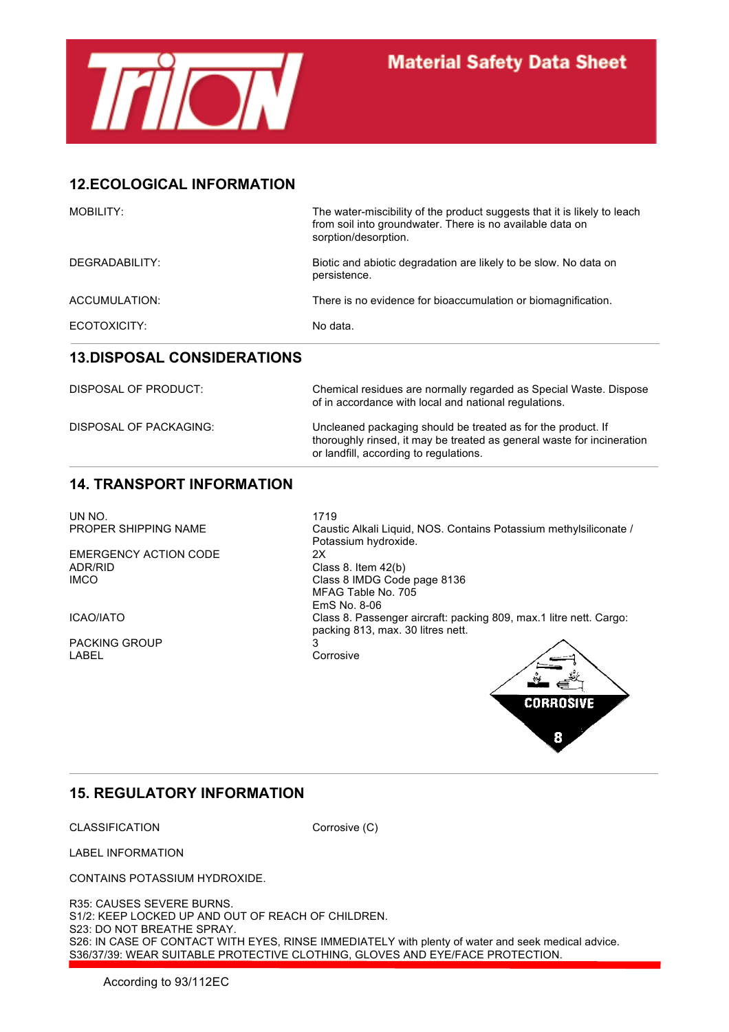

# **12.ECOLOGICAL INFORMATION**

| MOBILITY:      | The water-miscibility of the product suggests that it is likely to leach<br>from soil into groundwater. There is no available data on<br>sorption/desorption. |
|----------------|---------------------------------------------------------------------------------------------------------------------------------------------------------------|
| DEGRADABILITY: | Biotic and abiotic degradation are likely to be slow. No data on<br>persistence.                                                                              |
| ACCUMULATION:  | There is no evidence for bioaccumulation or biomagnification.                                                                                                 |
| ECOTOXICITY:   | No data.                                                                                                                                                      |

#### **13.DISPOSAL CONSIDERATIONS**

| DISPOSAL OF PRODUCT:   | Chemical residues are normally regarded as Special Waste. Dispose<br>of in accordance with local and national regulations.                                                       |
|------------------------|----------------------------------------------------------------------------------------------------------------------------------------------------------------------------------|
| DISPOSAL OF PACKAGING: | Uncleaned packaging should be treated as for the product. If<br>thoroughly rinsed, it may be treated as general waste for incineration<br>or landfill, according to regulations. |

#### **14. TRANSPORT INFORMATION**

UN NO. 1719<br>PROPER SHIPPING NAME Caus

EMERGENCY ACTION CODE 2X ADR/RID Class 8. Item 42(b)

PACKING GROUP 3

Caustic Alkali Liquid, NOS. Contains Potassium methylsiliconate / Potassium hydroxide. Class 8 IMDG Code page 8136 MFAG Table No. 705 EmS No. 8-06 ICAO/IATO Class 8. Passenger aircraft: packing 809, max.1 litre nett. Cargo: packing 813, max. 30 litres nett.

Corrosive



# **15. REGULATORY INFORMATION**

CLASSIFICATION Corrosive (C)

LABEL INFORMATION

CONTAINS POTASSIUM HYDROXIDE.

R35: CAUSES SEVERE BURNS. S1/2: KEEP LOCKED UP AND OUT OF REACH OF CHILDREN. S23: DO NOT BREATHE SPRAY. S26: IN CASE OF CONTACT WITH EYES, RINSE IMMEDIATELY with plenty of water and seek medical advice. S36/37/39: WEAR SUITABLE PROTECTIVE CLOTHING, GLOVES AND EYE/FACE PROTECTION.

According to 93/112EC